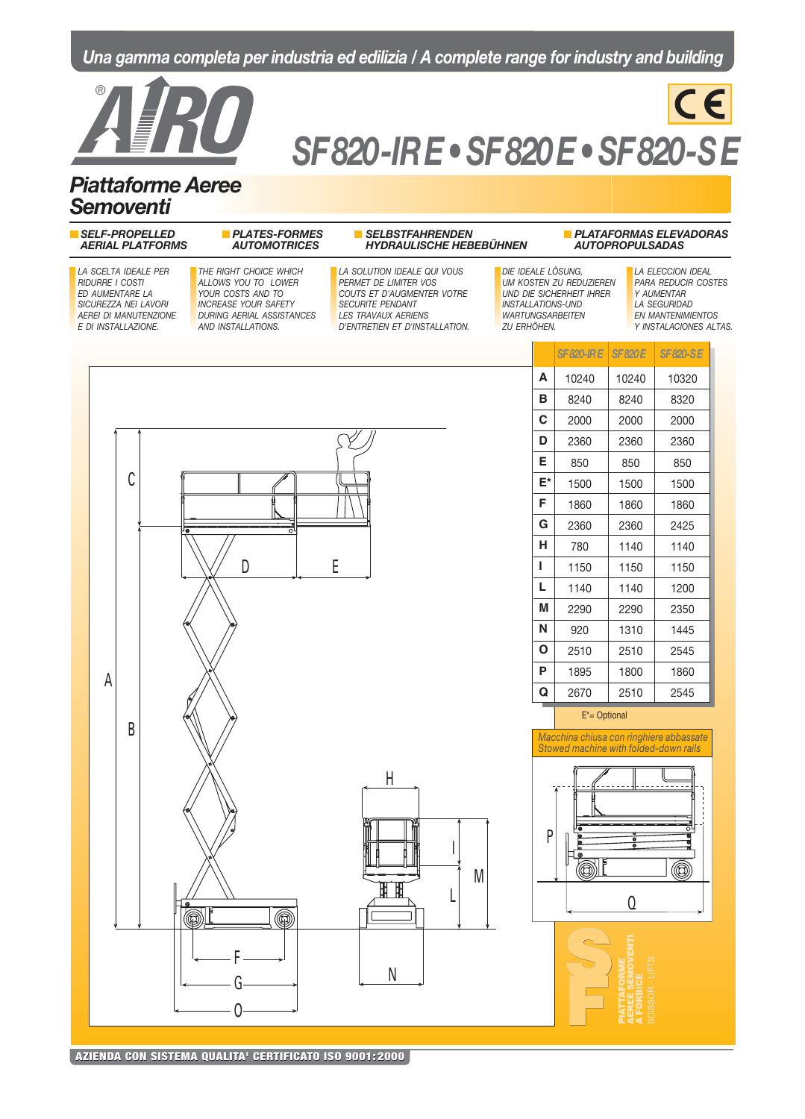# Una gamma completa per industria ed edilizia / A complete range for industry and building



# SF 820 - IR E • SF 820 E • SF 820-S E

CE

# Piattaforme Aeree Semoventi